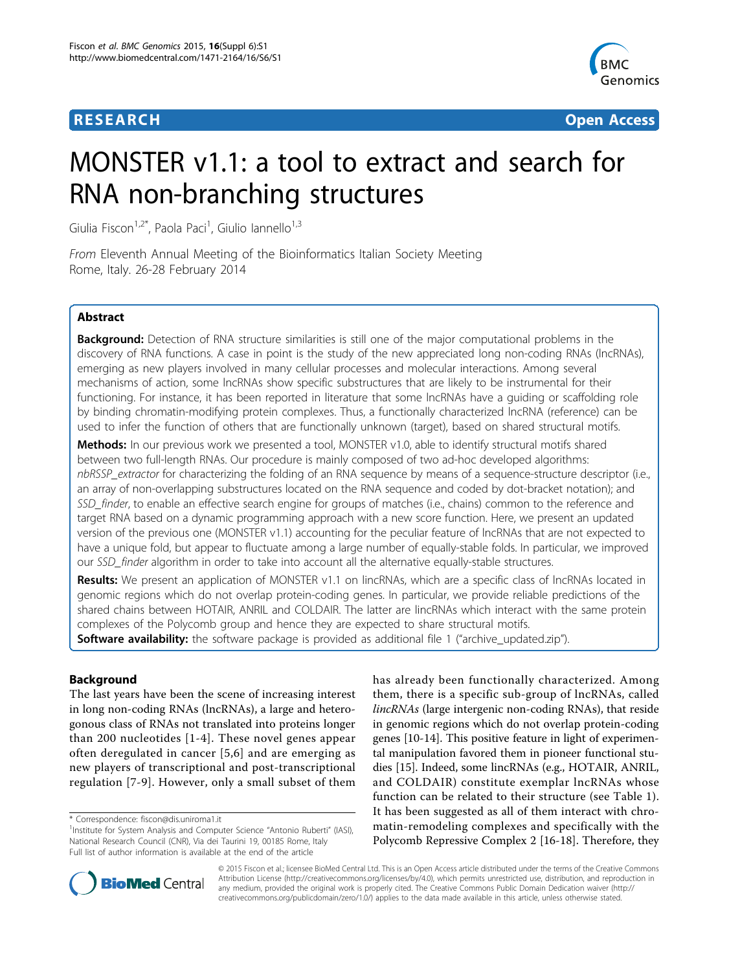

**RESEARCH CONSTRUCTION CONSTRUCTS** 

# MONSTER v1.1: a tool to extract and search for RNA non-branching structures

Giulia Fiscon<sup>1,2\*</sup>, Paola Paci<sup>1</sup>, Giulio Iannello<sup>1,3</sup>

From Eleventh Annual Meeting of the Bioinformatics Italian Society Meeting Rome, Italy. 26-28 February 2014

# Abstract

**Background:** Detection of RNA structure similarities is still one of the major computational problems in the discovery of RNA functions. A case in point is the study of the new appreciated long non-coding RNAs (lncRNAs), emerging as new players involved in many cellular processes and molecular interactions. Among several mechanisms of action, some lncRNAs show specific substructures that are likely to be instrumental for their functioning. For instance, it has been reported in literature that some lncRNAs have a guiding or scaffolding role by binding chromatin-modifying protein complexes. Thus, a functionally characterized lncRNA (reference) can be used to infer the function of others that are functionally unknown (target), based on shared structural motifs.

**Methods:** In our previous work we presented a tool, MONSTER v1.0, able to identify structural motifs shared between two full-length RNAs. Our procedure is mainly composed of two ad-hoc developed algorithms: nbRSSP\_extractor for characterizing the folding of an RNA sequence by means of a sequence-structure descriptor (i.e., an array of non-overlapping substructures located on the RNA sequence and coded by dot-bracket notation); and SSD finder, to enable an effective search engine for groups of matches (i.e., chains) common to the reference and target RNA based on a dynamic programming approach with a new score function. Here, we present an updated version of the previous one (MONSTER v1.1) accounting for the peculiar feature of lncRNAs that are not expected to have a unique fold, but appear to fluctuate among a large number of equally-stable folds. In particular, we improved our SSD\_finder algorithm in order to take into account all the alternative equally-stable structures.

Results: We present an application of MONSTER v1.1 on lincRNAs, which are a specific class of lncRNAs located in genomic regions which do not overlap protein-coding genes. In particular, we provide reliable predictions of the shared chains between HOTAIR, ANRIL and COLDAIR. The latter are lincRNAs which interact with the same protein complexes of the Polycomb group and hence they are expected to share structural motifs. Software availability: the software package is provided as additional file [1](#page-7-0) ("archive\_updated.zip").

# Background

The last years have been the scene of increasing interest in long non-coding RNAs (lncRNAs), a large and heterogonous class of RNAs not translated into proteins longer than 200 nucleotides [[1](#page-8-0)-[4](#page-8-0)]. These novel genes appear often deregulated in cancer [[5,6](#page-8-0)] and are emerging as new players of transcriptional and post-transcriptional regulation [[7-9\]](#page-8-0). However, only a small subset of them has already been functionally characterized. Among them, there is a specific sub-group of lncRNAs, called lincRNAs (large intergenic non-coding RNAs), that reside in genomic regions which do not overlap protein-coding genes [\[10-14](#page-8-0)]. This positive feature in light of experimental manipulation favored them in pioneer functional studies [[15](#page-8-0)]. Indeed, some lincRNAs (e.g., HOTAIR, ANRIL, and COLDAIR) constitute exemplar lncRNAs whose function can be related to their structure (see Table [1](#page-1-0)). It has been suggested as all of them interact with chromatin-remodeling complexes and specifically with the Polycomb Repressive Complex 2 [\[16](#page-8-0)-[18\]](#page-8-0). Therefore, they



© 2015 Fiscon et al.; licensee BioMed Central Ltd. This is an Open Access article distributed under the terms of the Creative Commons Attribution License [\(http://creativecommons.org/licenses/by/4.0](http://creativecommons.org/licenses/by/4.0)), which permits unrestricted use, distribution, and reproduction in any medium, provided the original work is properly cited. The Creative Commons Public Domain Dedication waiver [\(http://](http://creativecommons.org/publicdomain/zero/1.0/) [creativecommons.org/publicdomain/zero/1.0/](http://creativecommons.org/publicdomain/zero/1.0/)) applies to the data made available in this article, unless otherwise stated.

<sup>\*</sup> Correspondence: [fiscon@dis.uniroma1.it](mailto:fiscon@dis.uniroma1.it)

<sup>&</sup>lt;sup>1</sup>Institute for System Analysis and Computer Science "Antonio Ruberti" (IASI), National Research Council (CNR), Via dei Taurini 19, 00185 Rome, Italy Full list of author information is available at the end of the article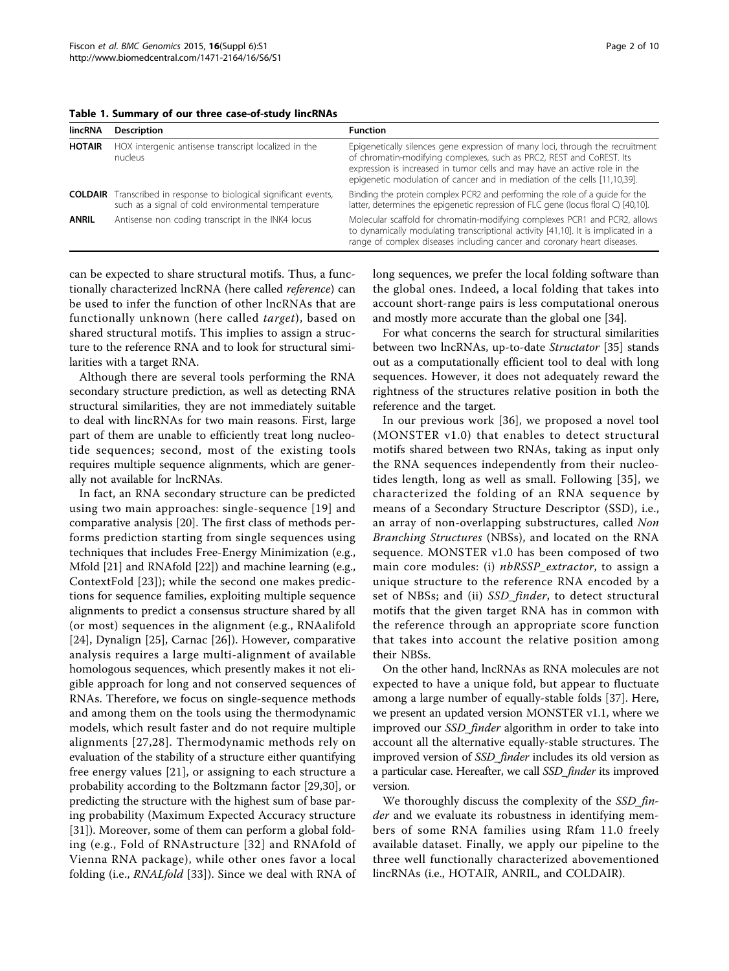<span id="page-1-0"></span>Table 1. Summary of our three case-of-study lincRNAs

| <b>lincRNA</b> | Description                                                                                                                    | <b>Function</b>                                                                                                                                                                                                                                                                                                 |
|----------------|--------------------------------------------------------------------------------------------------------------------------------|-----------------------------------------------------------------------------------------------------------------------------------------------------------------------------------------------------------------------------------------------------------------------------------------------------------------|
| <b>HOTAIR</b>  | HOX intergenic antisense transcript localized in the<br>nucleus                                                                | Epigenetically silences gene expression of many loci, through the recruitment<br>of chromatin-modifying complexes, such as PRC2, REST and CoREST. Its<br>expression is increased in tumor cells and may have an active role in the<br>epigenetic modulation of cancer and in mediation of the cells [11,10,39]. |
|                | <b>COLDAIR</b> Transcribed in response to biological significant events,<br>such as a signal of cold environmental temperature | Binding the protein complex PCR2 and performing the role of a quide for the<br>latter, determines the epigenetic repression of FLC gene (locus floral C) [40,10].                                                                                                                                               |
| <b>ANRIL</b>   | Antisense non coding transcript in the INK4 locus                                                                              | Molecular scaffold for chromatin-modifying complexes PCR1 and PCR2, allows<br>to dynamically modulating transcriptional activity [41,10]. It is implicated in a<br>range of complex diseases including cancer and coronary heart diseases.                                                                      |

can be expected to share structural motifs. Thus, a functionally characterized lncRNA (here called reference) can be used to infer the function of other lncRNAs that are functionally unknown (here called target), based on shared structural motifs. This implies to assign a structure to the reference RNA and to look for structural similarities with a target RNA.

Although there are several tools performing the RNA secondary structure prediction, as well as detecting RNA structural similarities, they are not immediately suitable to deal with lincRNAs for two main reasons. First, large part of them are unable to efficiently treat long nucleotide sequences; second, most of the existing tools requires multiple sequence alignments, which are generally not available for lncRNAs.

In fact, an RNA secondary structure can be predicted using two main approaches: single-sequence [[19](#page-8-0)] and comparative analysis [[20\]](#page-8-0). The first class of methods performs prediction starting from single sequences using techniques that includes Free-Energy Minimization (e.g., Mfold [\[21](#page-8-0)] and RNAfold [[22](#page-8-0)]) and machine learning (e.g., ContextFold [[23\]](#page-8-0)); while the second one makes predictions for sequence families, exploiting multiple sequence alignments to predict a consensus structure shared by all (or most) sequences in the alignment (e.g., RNAalifold [[24\]](#page-8-0), Dynalign [[25\]](#page-8-0), Carnac [[26\]](#page-8-0)). However, comparative analysis requires a large multi-alignment of available homologous sequences, which presently makes it not eligible approach for long and not conserved sequences of RNAs. Therefore, we focus on single-sequence methods and among them on the tools using the thermodynamic models, which result faster and do not require multiple alignments [\[27,28\]](#page-8-0). Thermodynamic methods rely on evaluation of the stability of a structure either quantifying free energy values [[21\]](#page-8-0), or assigning to each structure a probability according to the Boltzmann factor [\[29](#page-8-0),[30](#page-8-0)], or predicting the structure with the highest sum of base paring probability (Maximum Expected Accuracy structure [[31\]](#page-8-0)). Moreover, some of them can perform a global folding (e.g., Fold of RNAstructure [[32](#page-8-0)] and RNAfold of Vienna RNA package), while other ones favor a local folding (i.e., RNALfold [\[33](#page-8-0)]). Since we deal with RNA of long sequences, we prefer the local folding software than the global ones. Indeed, a local folding that takes into account short-range pairs is less computational onerous and mostly more accurate than the global one [\[34\]](#page-8-0).

For what concerns the search for structural similarities between two lncRNAs, up-to-date Structator [\[35](#page-8-0)] stands out as a computationally efficient tool to deal with long sequences. However, it does not adequately reward the rightness of the structures relative position in both the reference and the target.

In our previous work [[36\]](#page-8-0), we proposed a novel tool (MONSTER v1.0) that enables to detect structural motifs shared between two RNAs, taking as input only the RNA sequences independently from their nucleotides length, long as well as small. Following [\[35\]](#page-8-0), we characterized the folding of an RNA sequence by means of a Secondary Structure Descriptor (SSD), i.e., an array of non-overlapping substructures, called Non Branching Structures (NBSs), and located on the RNA sequence. MONSTER v1.0 has been composed of two main core modules: (i) nbRSSP\_extractor, to assign a unique structure to the reference RNA encoded by a set of NBSs; and (ii) SSD\_finder, to detect structural motifs that the given target RNA has in common with the reference through an appropriate score function that takes into account the relative position among their NBSs.

On the other hand, lncRNAs as RNA molecules are not expected to have a unique fold, but appear to fluctuate among a large number of equally-stable folds [[37\]](#page-8-0). Here, we present an updated version MONSTER v1.1, where we improved our SSD\_finder algorithm in order to take into account all the alternative equally-stable structures. The improved version of SSD\_finder includes its old version as a particular case. Hereafter, we call SSD\_finder its improved version.

We thoroughly discuss the complexity of the *SSD\_fin*der and we evaluate its robustness in identifying members of some RNA families using Rfam 11.0 freely available dataset. Finally, we apply our pipeline to the three well functionally characterized abovementioned lincRNAs (i.e., HOTAIR, ANRIL, and COLDAIR).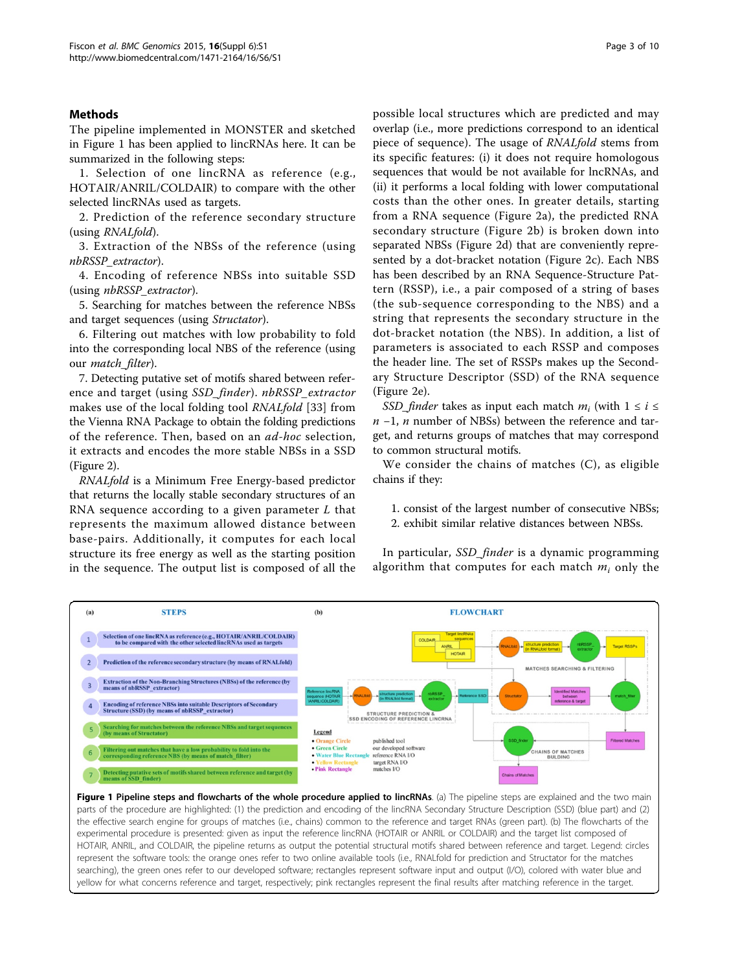# Methods

The pipeline implemented in MONSTER and sketched in Figure 1 has been applied to lincRNAs here. It can be summarized in the following steps:

1. Selection of one lincRNA as reference (e.g., HOTAIR/ANRIL/COLDAIR) to compare with the other selected lincRNAs used as targets.

2. Prediction of the reference secondary structure (using RNALfold).

3. Extraction of the NBSs of the reference (using nbRSSP\_extractor).

4. Encoding of reference NBSs into suitable SSD (using *nbRSSP* extractor).

5. Searching for matches between the reference NBSs and target sequences (using Structator).

6. Filtering out matches with low probability to fold into the corresponding local NBS of the reference (using our match\_filter).

7. Detecting putative set of motifs shared between reference and target (using SSD\_finder). nbRSSP\_extractor makes use of the local folding tool RNALfold [[33\]](#page-8-0) from the Vienna RNA Package to obtain the folding predictions of the reference. Then, based on an ad-hoc selection, it extracts and encodes the more stable NBSs in a SSD (Figure [2](#page-3-0)).

RNALfold is a Minimum Free Energy-based predictor that returns the locally stable secondary structures of an RNA sequence according to a given parameter  $L$  that represents the maximum allowed distance between base-pairs. Additionally, it computes for each local structure its free energy as well as the starting position in the sequence. The output list is composed of all the

possible local structures which are predicted and may overlap (i.e., more predictions correspond to an identical piece of sequence). The usage of RNALfold stems from its specific features: (i) it does not require homologous sequences that would be not available for lncRNAs, and (ii) it performs a local folding with lower computational costs than the other ones. In greater details, starting from a RNA sequence (Figure [2a\)](#page-3-0), the predicted RNA secondary structure (Figure [2b\)](#page-3-0) is broken down into separated NBSs (Figure [2d\)](#page-3-0) that are conveniently represented by a dot-bracket notation (Figure [2c\)](#page-3-0). Each NBS has been described by an RNA Sequence-Structure Pattern (RSSP), i.e., a pair composed of a string of bases (the sub-sequence corresponding to the NBS) and a string that represents the secondary structure in the dot-bracket notation (the NBS). In addition, a list of parameters is associated to each RSSP and composes the header line. The set of RSSPs makes up the Secondary Structure Descriptor (SSD) of the RNA sequence (Figure [2e\)](#page-3-0).

SSD\_finder takes as input each match  $m_i$  (with  $1 \le i \le$  $n-1$ , n number of NBSs) between the reference and target, and returns groups of matches that may correspond to common structural motifs.

We consider the chains of matches (C), as eligible chains if they:

1. consist of the largest number of consecutive NBSs; 2. exhibit similar relative distances between NBSs.

In particular, SSD *finder* is a dynamic programming algorithm that computes for each match  $m_i$  only the



Figure 1 Pipeline steps and flowcharts of the whole procedure applied to lincRNAs. (a) The pipeline steps are explained and the two main parts of the procedure are highlighted: (1) the prediction and encoding of the lincRNA Secondary Structure Description (SSD) (blue part) and (2) the effective search engine for groups of matches (i.e., chains) common to the reference and target RNAs (green part). (b) The flowcharts of the experimental procedure is presented: given as input the reference lincRNA (HOTAIR or ANRIL or COLDAIR) and the target list composed of HOTAIR, ANRIL, and COLDAIR, the pipeline returns as output the potential structural motifs shared between reference and target. Legend: circles represent the software tools: the orange ones refer to two online available tools (i.e., RNALfold for prediction and Structator for the matches searching), the green ones refer to our developed software; rectangles represent software input and output (I/O), colored with water blue and yellow for what concerns reference and target, respectively; pink rectangles represent the final results after matching reference in the target.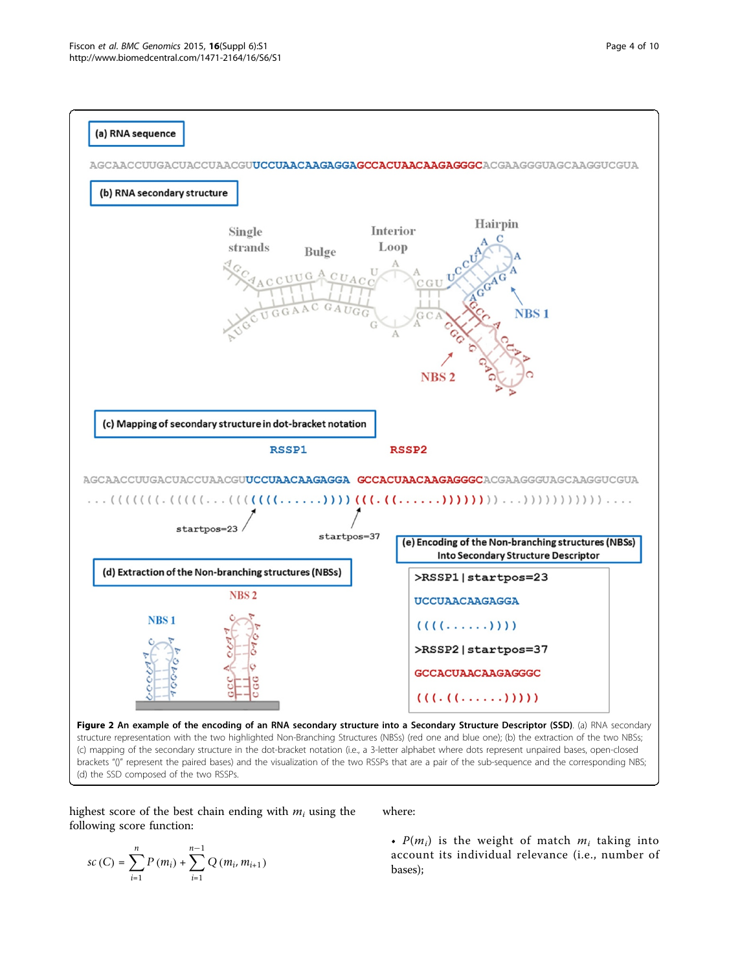<span id="page-3-0"></span>

(d) the SSD composed of the two RSSPs.

highest score of the best chain ending with  $m_i$  using the following score function:

$$
sc(C) = \sum_{i=1}^{n} P(m_i) + \sum_{i=1}^{n-1} Q(m_i, m_{i+1})
$$

where:

•  $P(m_i)$  is the weight of match  $m_i$  taking into account its individual relevance (i.e., number of bases);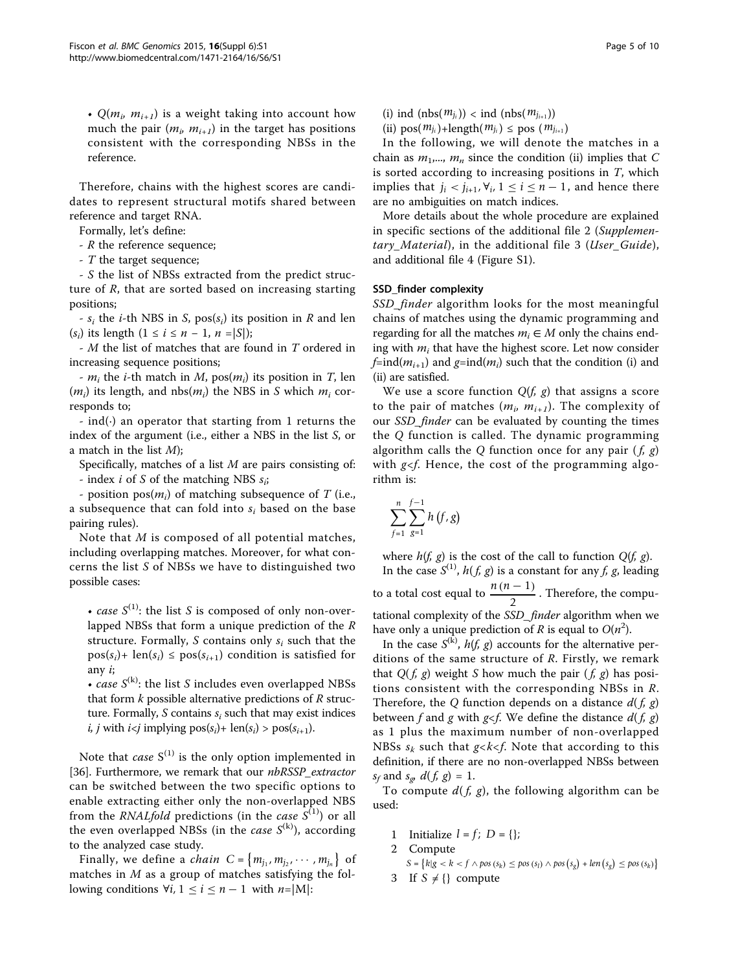•  $Q(m_i, m_{i+1})$  is a weight taking into account how much the pair  $(m_i, m_{i+1})$  in the target has positions consistent with the corresponding NBSs in the reference.

Therefore, chains with the highest scores are candidates to represent structural motifs shared between reference and target RNA.

Formally, let's define:

- R the reference sequence;

- T the target sequence;

- S the list of NBSs extracted from the predict structure of R, that are sorted based on increasing starting positions;

-  $s_i$  the *i*-th NBS in *S*, pos( $s_i$ ) its position in *R* and len  $(s_i)$  its length  $(1 \le i \le n - 1, n = |S|)$ ;

- M the list of matches that are found in T ordered in increasing sequence positions;

-  $m_i$  the *i*-th match in M,  $pos(m_i)$  its position in T, len  $(m_i)$  its length, and nbs $(m_i)$  the NBS in S which  $m_i$  corresponds to;

- ind( $\cdot$ ) an operator that starting from 1 returns the index of the argument (i.e., either a NBS in the list S, or a match in the list  $M$ );

Specifically, matches of a list  $M$  are pairs consisting of: - index *i* of *S* of the matching NBS  $s_i$ ;

- position  $pos(m_i)$  of matching subsequence of T (i.e., a subsequence that can fold into  $s_i$  based on the base pairing rules).

Note that M is composed of all potential matches, including overlapping matches. Moreover, for what concerns the list S of NBSs we have to distinguished two possible cases:

• case  $S^{(1)}$ : the list S is composed of only non-overlapped NBSs that form a unique prediction of the  $R$ structure. Formally, S contains only  $s_i$  such that the  $pos(s_i)$ + len(s<sub>i</sub>)  $\leq pos(s_{i+1})$  condition is satisfied for any i;

• case  $S^{(k)}$ : the list S includes even overlapped NBSs that form  $k$  possible alternative predictions of  $R$  structure. Formally, S contains  $s_i$  such that may exist indices *i*, *j* with  $i < j$  implying  $pos(s_i) + len(s_i) > pos(s_{i+1})$ .

Note that *case*  $S^{(1)}$  is the only option implemented in [[36\]](#page-8-0). Furthermore, we remark that our nbRSSP\_extractor can be switched between the two specific options to enable extracting either only the non-overlapped NBS from the *RNALfold* predictions (in the *case*  $S^{(1)}$ ) or all the even overlapped NBSs (in the *case*  $S^{(k)}$ ), according to the analyzed case study.

Finally, we define a *chain*  $C = \{m_{j_1}, m_{j_2}, \cdots, m_{j_n}\}\$  of matches in M as a group of matches satisfying the following conditions  $\forall i, 1 \le i \le n-1$  with *n*=|M|:

(i) ind  $(nbs(m_{i_i}))$  < ind  $(nbs(m_{i_{i+1}}))$ 

(ii)  $pos(m_{j_i})+length(m_{j_i}) \leq pos(m_{j_{i+1}})$ 

In the following, we will denote the matches in a chain as  $m_1,..., m_n$  since the condition (ii) implies that C is sorted according to increasing positions in  $T$ , which implies that  $j_i < j_{i+1}$ ,  $\forall i, 1 \leq i \leq n-1$ , and hence there are no ambiguities on match indices.

More details about the whole procedure are explained in specific sections of the additional file [2](#page-7-0) (Supplemen-tary Material), in the additional file [3](#page-7-0) (User Guide), and additional file [4](#page-7-0) (Figure S1).

### SSD\_finder complexity

SSD finder algorithm looks for the most meaningful chains of matches using the dynamic programming and regarding for all the matches  $m_i \in M$  only the chains ending with  $m_i$  that have the highest score. Let now consider  $f=ind(m_{i+1})$  and  $g=ind(m_i)$  such that the condition (i) and (ii) are satisfied.

We use a score function  $Q(f, g)$  that assigns a score to the pair of matches  $(m_i, m_{i+1})$ . The complexity of our SSD\_finder can be evaluated by counting the times the Q function is called. The dynamic programming algorithm calls the Q function once for any pair  $(f, g)$ with  $g \leq f$ . Hence, the cost of the programming algorithm is:

$$
\sum_{f=1}^{n} \sum_{g=1}^{f-1} h(f,g)
$$

where  $h(f, g)$  is the cost of the call to function  $Q(f, g)$ . In the case  $S^{(1)}$ ,  $h(f, g)$  is a constant for any f, g, leading to a total cost equal to  $\frac{n(n-1)}{2}$ . Therefore, the computational complexity of the SSD\_finder algorithm when we have only a unique prediction of R is equal to  $O(n^2)$ .

In the case  $S^{(k)}$ ,  $h(f, g)$  accounts for the alternative perditions of the same structure of  $R$ . Firstly, we remark that  $Q(f, g)$  weight S how much the pair  $(f, g)$  has positions consistent with the corresponding NBSs in R. Therefore, the Q function depends on a distance  $d(f, g)$ between f and g with  $g \le f$ . We define the distance  $d(f, g)$ as 1 plus the maximum number of non-overlapped NBSs  $s_k$  such that  $g < k < f$ . Note that according to this definition, if there are no non-overlapped NBSs between  $s_f$  and  $s_g$ ,  $d(f, g) = 1$ .

To compute  $d(f, g)$ , the following algorithm can be used:

- 1 Initialize  $l = f$ ;  $D = \{\}$ ;
- 2 Compute

$$
S = \{k|g < k < f \land pos(s_k) \leq pos(s_l) \land pos(s_g) + len(s_g) \leq pos(s_k)\}
$$

3 If  $S \neq \{\}$  compute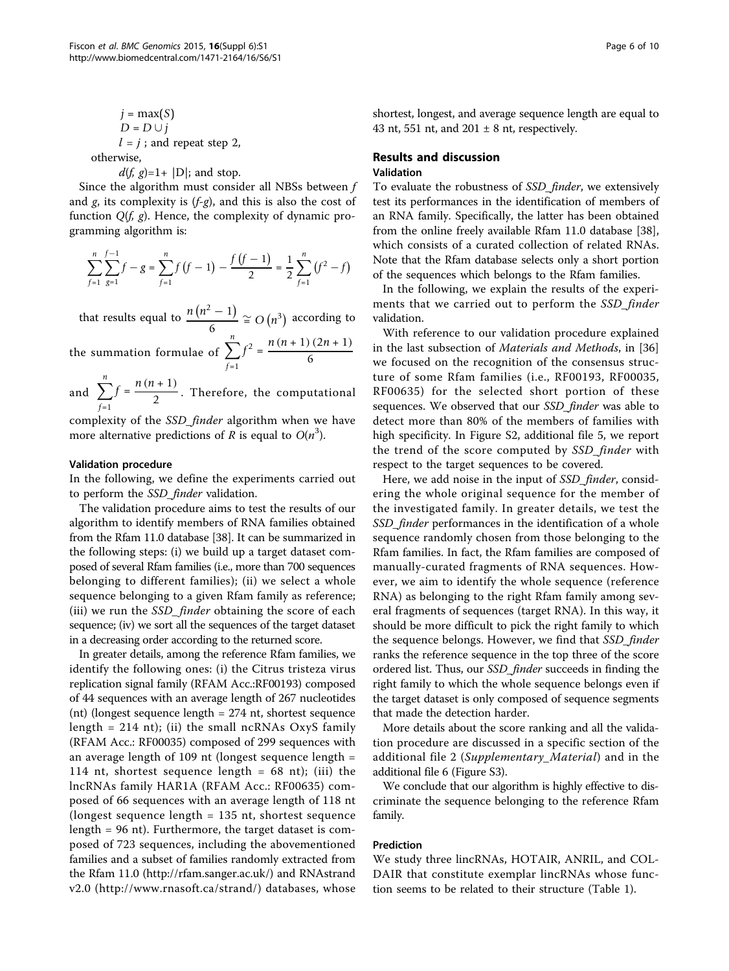$$
j = \max(S)
$$
  
 
$$
D = D \cup j
$$
  
 
$$
l = j
$$
; and repeat step 2,  
 otherwise,

 $d(f, g)=1+ |D|$ ; and stop.

Since the algorithm must consider all NBSs between f and  $g$ , its complexity is  $(f-g)$ , and this is also the cost of function  $Q(f, g)$ . Hence, the complexity of dynamic programming algorithm is:

$$
\sum_{f=1}^{n} \sum_{g=1}^{f-1} f - g = \sum_{f=1}^{n} f(f-1) - \frac{f(f-1)}{2} = \frac{1}{2} \sum_{f=1}^{n} (f^2 - f)
$$

that results equal to  $\frac{n(n^2-1)}{6} \cong O(n^3)$  according to

the summation formulae of  $\sum^{n}$ *f*=1  $f^{2} = \frac{n(n+1)(2n+1)}{6}$ 

and  $\sum_{n=1}^{n}$ *f*=1  $f = \frac{n(n+1)}{2}$ . Therefore, the computational

complexity of the SSD\_finder algorithm when we have more alternative predictions of R is equal to  $O(n^3)$ .

### Validation procedure

In the following, we define the experiments carried out to perform the SSD\_finder validation.

The validation procedure aims to test the results of our algorithm to identify members of RNA families obtained from the Rfam 11.0 database [\[38](#page-8-0)]. It can be summarized in the following steps: (i) we build up a target dataset composed of several Rfam families (i.e., more than 700 sequences belonging to different families); (ii) we select a whole sequence belonging to a given Rfam family as reference; (iii) we run the SSD\_finder obtaining the score of each sequence; (iv) we sort all the sequences of the target dataset in a decreasing order according to the returned score.

In greater details, among the reference Rfam families, we identify the following ones: (i) the Citrus tristeza virus replication signal family (RFAM Acc.:RF00193) composed of 44 sequences with an average length of 267 nucleotides (nt) (longest sequence length = 274 nt, shortest sequence length =  $214$  nt); (ii) the small ncRNAs OxyS family (RFAM Acc.: RF00035) composed of 299 sequences with an average length of 109 nt (longest sequence length = 114 nt, shortest sequence length  $= 68$  nt); (iii) the lncRNAs family HAR1A (RFAM Acc.: RF00635) composed of 66 sequences with an average length of 118 nt (longest sequence length = 135 nt, shortest sequence length = 96 nt). Furthermore, the target dataset is composed of 723 sequences, including the abovementioned families and a subset of families randomly extracted from the Rfam 11.0 ([http://rfam.sanger.ac.uk/\)](http://rfam.sanger.ac.uk/) and RNAstrand v2.0 (<http://www.rnasoft.ca/strand/>) databases, whose shortest, longest, and average sequence length are equal to 43 nt, 551 nt, and  $201 \pm 8$  nt, respectively.

## Results and discussion Validation

To evaluate the robustness of SSD\_finder, we extensively test its performances in the identification of members of an RNA family. Specifically, the latter has been obtained from the online freely available Rfam 11.0 database [\[38](#page-8-0)], which consists of a curated collection of related RNAs. Note that the Rfam database selects only a short portion of the sequences which belongs to the Rfam families.

In the following, we explain the results of the experiments that we carried out to perform the SSD finder validation.

With reference to our validation procedure explained in the last subsection of Materials and Methods, in [[36](#page-8-0)] we focused on the recognition of the consensus structure of some Rfam families (i.e., RF00193, RF00035, RF00635) for the selected short portion of these sequences. We observed that our SSD\_finder was able to detect more than 80% of the members of families with high specificity. In Figure S2, additional file [5](#page-7-0), we report the trend of the score computed by SSD\_finder with respect to the target sequences to be covered.

Here, we add noise in the input of SSD\_finder, considering the whole original sequence for the member of the investigated family. In greater details, we test the SSD\_finder performances in the identification of a whole sequence randomly chosen from those belonging to the Rfam families. In fact, the Rfam families are composed of manually-curated fragments of RNA sequences. However, we aim to identify the whole sequence (reference RNA) as belonging to the right Rfam family among several fragments of sequences (target RNA). In this way, it should be more difficult to pick the right family to which the sequence belongs. However, we find that SSD\_finder ranks the reference sequence in the top three of the score ordered list. Thus, our SSD\_finder succeeds in finding the right family to which the whole sequence belongs even if the target dataset is only composed of sequence segments that made the detection harder.

More details about the score ranking and all the validation procedure are discussed in a specific section of the additional file [2](#page-7-0) (Supplementary\_Material) and in the additional file [6](#page-7-0) (Figure S3).

We conclude that our algorithm is highly effective to discriminate the sequence belonging to the reference Rfam family.

# Prediction

We study three lincRNAs, HOTAIR, ANRIL, and COL-DAIR that constitute exemplar lincRNAs whose function seems to be related to their structure (Table [1\)](#page-1-0).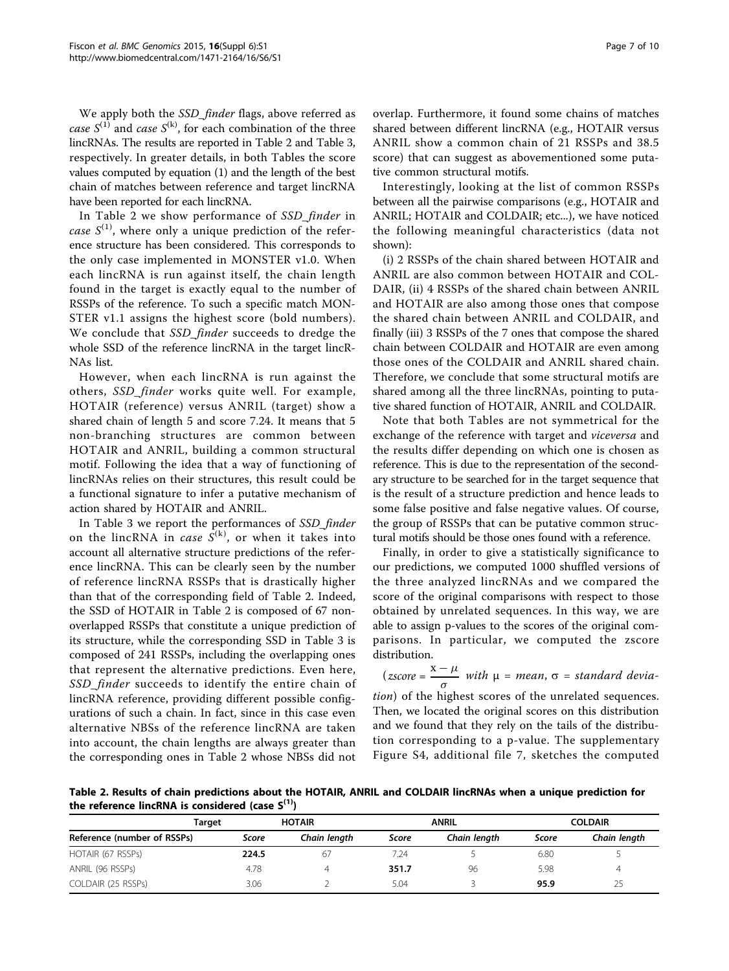We apply both the SSD\_finder flags, above referred as case  $S^{(1)}$  and case  $S^{(k)}$ , for each combination of the three lincRNAs. The results are reported in Table 2 and Table [3](#page-7-0), respectively. In greater details, in both Tables the score values computed by equation (1) and the length of the best chain of matches between reference and target lincRNA have been reported for each lincRNA.

In Table 2 we show performance of SSD finder in case  $S^{(1)}$ , where only a unique prediction of the reference structure has been considered. This corresponds to the only case implemented in MONSTER v1.0. When each lincRNA is run against itself, the chain length found in the target is exactly equal to the number of RSSPs of the reference. To such a specific match MON-STER v1.1 assigns the highest score (bold numbers). We conclude that SSD finder succeeds to dredge the whole SSD of the reference lincRNA in the target lincR-NAs list.

However, when each lincRNA is run against the others, SSD\_finder works quite well. For example, HOTAIR (reference) versus ANRIL (target) show a shared chain of length 5 and score 7.24. It means that 5 non-branching structures are common between HOTAIR and ANRIL, building a common structural motif. Following the idea that a way of functioning of lincRNAs relies on their structures, this result could be a functional signature to infer a putative mechanism of action shared by HOTAIR and ANRIL.

In Table [3](#page-7-0) we report the performances of SSD\_finder on the lincRNA in *case*  $S^{(k)}$ , or when it takes into account all alternative structure predictions of the reference lincRNA. This can be clearly seen by the number of reference lincRNA RSSPs that is drastically higher than that of the corresponding field of Table 2. Indeed, the SSD of HOTAIR in Table 2 is composed of 67 nonoverlapped RSSPs that constitute a unique prediction of its structure, while the corresponding SSD in Table [3](#page-7-0) is composed of 241 RSSPs, including the overlapping ones that represent the alternative predictions. Even here, SSD\_finder succeeds to identify the entire chain of lincRNA reference, providing different possible configurations of such a chain. In fact, since in this case even alternative NBSs of the reference lincRNA are taken into account, the chain lengths are always greater than the corresponding ones in Table 2 whose NBSs did not overlap. Furthermore, it found some chains of matches shared between different lincRNA (e.g., HOTAIR versus ANRIL show a common chain of 21 RSSPs and 38.5 score) that can suggest as abovementioned some putative common structural motifs.

Interestingly, looking at the list of common RSSPs between all the pairwise comparisons (e.g., HOTAIR and ANRIL; HOTAIR and COLDAIR; etc...), we have noticed the following meaningful characteristics (data not shown):

(i) 2 RSSPs of the chain shared between HOTAIR and ANRIL are also common between HOTAIR and COL-DAIR, (ii) 4 RSSPs of the shared chain between ANRIL and HOTAIR are also among those ones that compose the shared chain between ANRIL and COLDAIR, and finally (iii) 3 RSSPs of the 7 ones that compose the shared chain between COLDAIR and HOTAIR are even among those ones of the COLDAIR and ANRIL shared chain. Therefore, we conclude that some structural motifs are shared among all the three lincRNAs, pointing to putative shared function of HOTAIR, ANRIL and COLDAIR.

Note that both Tables are not symmetrical for the exchange of the reference with target and *viceversa* and the results differ depending on which one is chosen as reference. This is due to the representation of the secondary structure to be searched for in the target sequence that is the result of a structure prediction and hence leads to some false positive and false negative values. Of course, the group of RSSPs that can be putative common structural motifs should be those ones found with a reference.

Finally, in order to give a statistically significance to our predictions, we computed 1000 shuffled versions of the three analyzed lincRNAs and we compared the score of the original comparisons with respect to those obtained by unrelated sequences. In this way, we are able to assign p-values to the scores of the original comparisons. In particular, we computed the zscore distribution.

$$
(zscore = \frac{x - \mu}{\sigma} \text{ with } \mu = mean, \sigma = standard \text{ devia-}
$$

tion) of the highest scores of the unrelated sequences. Then, we located the original scores on this distribution and we found that they rely on the tails of the distribution corresponding to a p-value. The supplementary Figure S4, additional file [7,](#page-7-0) sketches the computed

Table 2. Results of chain predictions about the HOTAIR, ANRIL and COLDAIR lincRNAs when a unique prediction for the reference lincRNA is considered (case  $S^{(1)}$ )

|                             | Target | <b>HOTAIR</b> | <b>ANRIL</b> |              | <b>COLDAIR</b> |              |
|-----------------------------|--------|---------------|--------------|--------------|----------------|--------------|
| Reference (number of RSSPs) | Score  | Chain length  | Score        | Chain length | Score          | Chain length |
| HOTAIR (67 RSSPs)           | 224.5  | 67            | 7.24         |              | 6.80           |              |
| ANRIL (96 RSSPs)            | 4.78   |               | 351.7        | 96           | 5.98           | 4            |
| COLDAIR (25 RSSPs)          | 3.06   |               | 5.04         |              | 95.9           | 25           |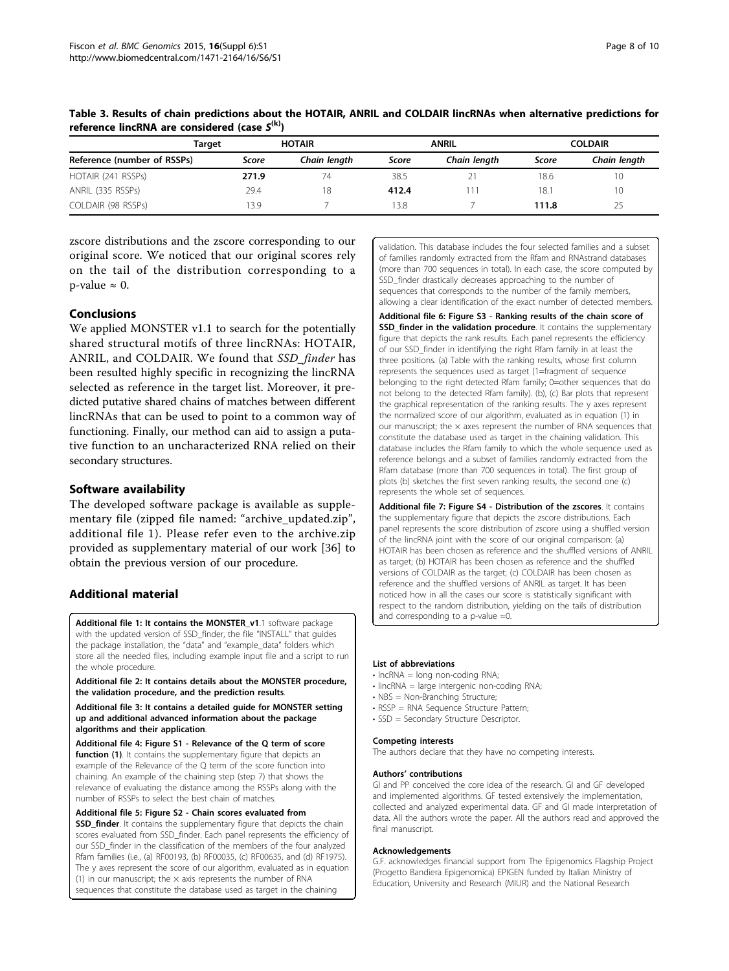|                             | Target | <b>HOTAIR</b> |       | <b>ANRIL</b> |       | <b>COLDAIR</b> |  |
|-----------------------------|--------|---------------|-------|--------------|-------|----------------|--|
| Reference (number of RSSPs) | Score  | Chain length  | Score | Chain length | Score | Chain length   |  |
| HOTAIR (241 RSSPs)          | 271.9  | 74            | 38.5  |              | 18.6  | 10             |  |
| ANRIL (335 RSSPs)           | 29.4   | 18            | 412.4 |              | 18.1  | 10             |  |
| COLDAIR (98 RSSPs)          | 13.9   |               | 13.8  |              | 111.8 | 25             |  |

<span id="page-7-0"></span>Table 3. Results of chain predictions about the HOTAIR, ANRIL and COLDAIR lincRNAs when alternative predictions for reference lincRNA are considered (case  $S^{(k)}$ )

zscore distributions and the zscore corresponding to our original score. We noticed that our original scores rely on the tail of the distribution corresponding to a p-value  $\approx$  0.

# Conclusions

We applied MONSTER v1.1 to search for the potentially shared structural motifs of three lincRNAs: HOTAIR, ANRIL, and COLDAIR. We found that SSD\_finder has been resulted highly specific in recognizing the lincRNA selected as reference in the target list. Moreover, it predicted putative shared chains of matches between different lincRNAs that can be used to point to a common way of functioning. Finally, our method can aid to assign a putative function to an uncharacterized RNA relied on their secondary structures.

# Software availability

The developed software package is available as supplementary file (zipped file named: "archive\_updated.zip", additional file 1). Please refer even to the archive.zip provided as supplementary material of our work [[36\]](#page-8-0) to obtain the previous version of our procedure.

# Additional material

[Additional file 1: I](http://www.biomedcentral.com/content/supplementary/1471-2164-16-S6-S1-S1.zip)t contains the MONSTER\_v1.1 software package with the updated version of SSD\_finder, the file "INSTALL" that guides the package installation, the "data" and "example\_data" folders which store all the needed files, including example input file and a script to run the whole procedure.

[Additional file 2: I](http://www.biomedcentral.com/content/supplementary/1471-2164-16-S6-S1-S2.pdf)t contains details about the MONSTER procedure, the validation procedure, and the prediction results.

[Additional file 3: I](http://www.biomedcentral.com/content/supplementary/1471-2164-16-S6-S1-S3.pdf)t contains a detailed guide for MONSTER setting up and additional advanced information about the package algorithms and their application.

[Additional file 4: F](http://www.biomedcentral.com/content/supplementary/1471-2164-16-S6-S1-S4.png)igure S1 - Relevance of the Q term of score function (1). It contains the supplementary figure that depicts an example of the Relevance of the Q term of the score function into chaining. An example of the chaining step (step 7) that shows the relevance of evaluating the distance among the RSSPs along with the number of RSSPs to select the best chain of matches.

#### [Additional file 5: F](http://www.biomedcentral.com/content/supplementary/1471-2164-16-S6-S1-S5.png)igure S2 - Chain scores evaluated from SSD\_finder. It contains the supplementary figure that depicts the chain scores evaluated from SSD\_finder. Each panel represents the efficiency of our SSD\_finder in the classification of the members of the four analyzed Rfam families (i.e., (a) RF00193, (b) RF00035, (c) RF00635, and (d) RF1975). The y axes represent the score of our algorithm, evaluated as in equation (1) in our manuscript; the  $\times$  axis represents the number of RNA sequences that constitute the database used as target in the chaining

validation. This database includes the four selected families and a subset of families randomly extracted from the Rfam and RNAstrand databases (more than 700 sequences in total). In each case, the score computed by SSD\_finder drastically decreases approaching to the number of sequences that corresponds to the number of the family members, allowing a clear identification of the exact number of detected members.

[Additional file 6: F](http://www.biomedcentral.com/content/supplementary/1471-2164-16-S6-S1-S6.png)igure S3 - Ranking results of the chain score of **SSD finder in the validation procedure.** It contains the supplementary figure that depicts the rank results. Each panel represents the efficiency of our SSD\_finder in identifying the right Rfam family in at least the three positions. (a) Table with the ranking results, whose first column represents the sequences used as target (1=fragment of sequence belonging to the right detected Rfam family; 0=other sequences that do not belong to the detected Rfam family). (b), (c) Bar plots that represent the graphical representation of the ranking results. The y axes represent the normalized score of our algorithm, evaluated as in equation (1) in our manuscript; the  $\times$  axes represent the number of RNA sequences that constitute the database used as target in the chaining validation. This database includes the Rfam family to which the whole sequence used as reference belongs and a subset of families randomly extracted from the Rfam database (more than 700 sequences in total). The first group of plots (b) sketches the first seven ranking results, the second one (c) represents the whole set of sequences.

[Additional file 7: F](http://www.biomedcentral.com/content/supplementary/1471-2164-16-S6-S1-S7.png)igure S4 - Distribution of the zscores. It contains the supplementary figure that depicts the zscore distributions. Each panel represents the score distribution of zscore using a shuffled version of the lincRNA joint with the score of our original comparison: (a) HOTAIR has been chosen as reference and the shuffled versions of ANRIL as target; (b) HOTAIR has been chosen as reference and the shuffled versions of COLDAIR as the target; (c) COLDAIR has been chosen as reference and the shuffled versions of ANRIL as target. It has been noticed how in all the cases our score is statistically significant with respect to the random distribution, yielding on the tails of distribution and corresponding to a p-value ≈0.

#### List of abbreviations

- lncRNA = long non-coding RNA;
- lincRNA = large intergenic non-coding RNA;
- NBS = Non-Branching Structure;
- RSSP = RNA Sequence Structure Pattern;
- SSD = Secondary Structure Descriptor.

### Competing interests

The authors declare that they have no competing interests.

#### Authors' contributions

GI and PP conceived the core idea of the research. GI and GF developed and implemented algorithms. GF tested extensively the implementation, collected and analyzed experimental data. GF and GI made interpretation of data. All the authors wrote the paper. All the authors read and approved the final manuscript.

#### Acknowledgements

G.F. acknowledges financial support from The Epigenomics Flagship Project (Progetto Bandiera Epigenomica) EPIGEN funded by Italian Ministry of Education, University and Research (MIUR) and the National Research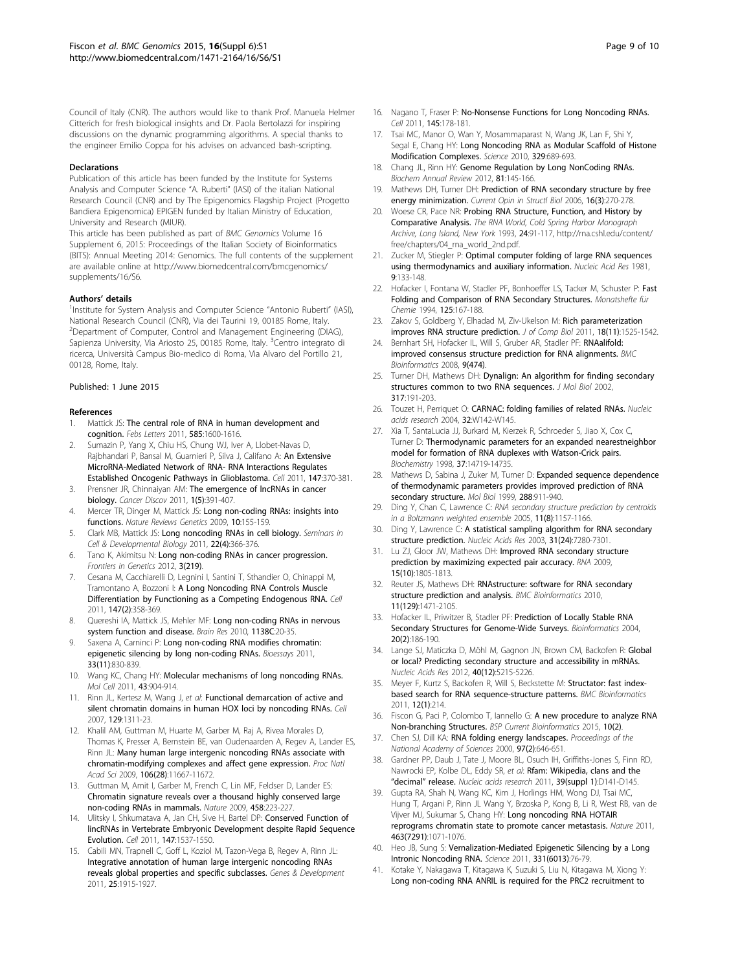<span id="page-8-0"></span>Council of Italy (CNR). The authors would like to thank Prof. Manuela Helmer Citterich for fresh biological insights and Dr. Paola Bertolazzi for inspiring discussions on the dynamic programming algorithms. A special thanks to the engineer Emilio Coppa for his advises on advanced bash-scripting.

#### Declarations

Publication of this article has been funded by the Institute for Systems Analysis and Computer Science "A. Ruberti" (IASI) of the italian National Research Council (CNR) and by The Epigenomics Flagship Project (Progetto Bandiera Epigenomica) EPIGEN funded by Italian Ministry of Education, University and Research (MIUR).

This article has been published as part of BMC Genomics Volume 16 Supplement 6, 2015: Proceedings of the Italian Society of Bioinformatics (BITS): Annual Meeting 2014: Genomics. The full contents of the supplement are available online at [http://www.biomedcentral.com/bmcgenomics/](http://www.biomedcentral.com/bmcgenomics/supplements/16/S6) [supplements/16/S6.](http://www.biomedcentral.com/bmcgenomics/supplements/16/S6)

#### Authors' details <sup>1</sup>

Institute for System Analysis and Computer Science "Antonio Ruberti" (IASI), National Research Council (CNR), Via dei Taurini 19, 00185 Rome, Italy. <sup>2</sup>Department of Computer, Control and Management Engineering (DIAG), Sapienza University, Via Ariosto 25, 00185 Rome, Italy. <sup>3</sup>Centro integrato di ricerca, Università Campus Bio-medico di Roma, Via Alvaro del Portillo 21, 00128, Rome, Italy.

#### Published: 1 June 2015

#### References

- Mattick JS: The central role of RNA in human development and cognition. Febs Letters 2011, 585:1600-1616.
- Sumazin P, Yang X, Chiu HS, Chung WJ, Iver A, Llobet-Navas D, Rajbhandari P, Bansal M, Guarnieri P, Silva J, Califano A: An Extensive MicroRNA-Mediated Network of RNA- RNA Interactions Regulates Established Oncogenic Pathways in Glioblastoma. Cell 2011, 147:370-381.
- 3. Prensner JR, Chinnaiyan AM: The emergence of lncRNAs in cancer biology. Cancer Discov 2011, 1(5):391-407.
- 4. Mercer TR, Dinger M, Mattick JS: Long non-coding RNAs: insights into functions. Nature Reviews Genetics 2009, 10:155-159.
- 5. Clark MB, Mattick JS: Long noncoding RNAs in cell biology. Seminars in Cell & Developmental Biology 2011, 22(4):366-376.
- 6. Tano K, Akimitsu N: [Long non-coding RNAs in cancer progression.](http://www.ncbi.nlm.nih.gov/pubmed/23109937?dopt=Abstract) Frontiers in Genetics 2012, 3(219).
- 7. Cesana M, Cacchiarelli D, Legnini I, Santini T, Sthandier O, Chinappi M, Tramontano A, Bozzoni I: A Long Noncoding RNA Controls Muscle Differentiation by Functioning as a Competing Endogenous RNA. Cell 2011, 147(2):358-369.
- 8. Quereshi IA, Mattick JS, Mehler MF: [Long non-coding RNAs in nervous](http://www.ncbi.nlm.nih.gov/pubmed/20380817?dopt=Abstract) [system function and disease.](http://www.ncbi.nlm.nih.gov/pubmed/20380817?dopt=Abstract) Brain Res 2010, 1138C:20-35.
- 9. Saxena A, Carninci P: Long non-coding RNA modifies chromatin: epigenetic silencing by long non-coding RNAs. Bioessays 2011, 33(11):830-839.
- 10. Wang KC, Chang HY: Molecular mechanisms of long noncoding RNAs. Mol Cell 2011, 43:904-914.
- 11. Rinn JL, Kertesz M, Wang J, et al: Functional demarcation of active and silent chromatin domains in human HOX loci by noncoding RNAs. Cell 2007, 129:1311-23.
- 12. Khalil AM, Guttman M, Huarte M, Garber M, Raj A, Rivea Morales D, Thomas K, Presser A, Bernstein BE, van Oudenaarden A, Regev A, Lander ES, Rinn JL: Many human large intergenic noncoding RNAs associate with chromatin-modifying complexes and affect gene expression. Proc Natl Acad Sci 2009, 106(28):11667-11672.
- 13. Guttman M, Amit I, Garber M, French C, Lin MF, Feldser D, Lander ES: Chromatin signature reveals over a thousand highly conserved large non-coding RNAs in mammals. Nature 2009, 458:223-227.
- 14. Ulitsky I, Shkumatava A, Jan CH, Sive H, Bartel DP: Conserved Function of lincRNAs in Vertebrate Embryonic Development despite Rapid Sequence Evolution. Cell 2011, 147:1537-1550.
- 15. Cabili MN, Trapnell C, Goff L, Koziol M, Tazon-Vega B, Regev A, Rinn JL: Integrative annotation of human large intergenic noncoding RNAs reveals global properties and specific subclasses. Genes & Development 2011, 25:1915-1927.
- 16. Nagano T, Fraser P: No-Nonsense Functions for Long Noncoding RNAs. Cell 2011, 145:178-181.
- 17. Tsai MC, Manor O, Wan Y, Mosammaparast N, Wang JK, Lan F, Shi Y, Segal E, Chang HY: Long Noncoding RNA as Modular Scaffold of Histone Modification Complexes. Science 2010, 329:689-693.
- 18. Chang JL, Rinn HY: Genome Regulation by Long NonCoding RNAs. Biochem Annual Review 2012, 81:145-166.
- 19. Mathews DH, Turner DH: Prediction of RNA secondary structure by free energy minimization. Current Opin in Structl Biol 2006, 16(3):270-278.
- 20. Woese CR, Pace NR: Probing RNA Structure, Function, and History by Comparative Analysis. The RNA World, Cold Spring Harbor Monograph Archive, Long Island, New York 1993, 24:91-117, http://rna.cshl.edu/content/ free/chapters/04\_rna\_world\_2nd.pdf.
- 21. Zucker M, Stiegler P: Optimal computer folding of large RNA sequences using thermodynamics and auxiliary information. Nucleic Acid Res 1981, 9:133-148.
- 22. Hofacker I, Fontana W, Stadler PF, Bonhoeffer LS, Tacker M, Schuster P: Fast Folding and Comparison of RNA Secondary Structures. Monatshefte für Chemie 1994, 125:167-188.
- 23. Zakov S, Goldberg Y, Elhadad M, Ziv-Ukelson M: Rich parameterization
- improves RNA structure prediction. J of Comp Biol 2011, 18(11):1525-1542. 24. Bernhart SH, Hofacker IL, Will S, Gruber AR, Stadler PF: [RNAalifold:](http://www.ncbi.nlm.nih.gov/pubmed/19014431?dopt=Abstract)
- [improved consensus structure prediction for RNA alignments.](http://www.ncbi.nlm.nih.gov/pubmed/19014431?dopt=Abstract) BMC Bioinformatics 2008, 9(474).
- 25. Turner DH, Mathews DH: Dynalign: An algorithm for finding secondary structures common to two RNA sequences. J Mol Biol 2002, 317:191-203.
- 26. Touzet H, Perriquet O: CARNAC: folding families of related RNAs. Nucleic acids research 2004, 32:W142-W145.
- 27. Xia T, SantaLucia JJ, Burkard M, Kierzek R, Schroeder S, Jiao X, Cox C, Turner D: Thermodynamic parameters for an expanded nearestneighbor model for formation of RNA duplexes with Watson-Crick pairs. Biochemistry 1998, 37:14719-14735.
- 28. Mathews D, Sabina J, Zuker M, Turner D: Expanded sequence dependence of thermodynamic parameters provides improved prediction of RNA secondary structure. Mol Biol 1999, 288:911-940.
- 29. Ding Y, Chan C, Lawrence C: RNA secondary structure prediction by centroids in a Boltzmann weighted ensemble 2005, 11(8):1157-1166.
- 30. Ding Y, Lawrence C: A statistical sampling algorithm for RNA secondary structure prediction. Nucleic Acids Res 2003, 31(24):7280-7301.
- 31. Lu ZJ, Gloor JW, Mathews DH: Improved RNA secondary structure prediction by maximizing expected pair accuracy. RNA 2009, 15(10):1805-1813.
- 32. Reuter JS, Mathews DH: [RNAstructure: software for RNA secondary](http://www.ncbi.nlm.nih.gov/pubmed/20230624?dopt=Abstract) [structure prediction and analysis.](http://www.ncbi.nlm.nih.gov/pubmed/20230624?dopt=Abstract) BMC Bioinformatics 2010, 11(129):1471-2105.
- 33. Hofacker IL, Priwitzer B, Stadler PF: Prediction of Locally Stable RNA Secondary Structures for Genome-Wide Surveys. Bioinformatics 2004, 20(2):186-190.
- 34. Lange SJ, Maticzka D, Möhl M, Gagnon JN, Brown CM, Backofen R: Global or local? Predicting secondary structure and accessibility in mRNAs. Nucleic Acids Res 2012, 40(12):5215-5226.
- 35. Meyer F, Kurtz S, Backofen R, Will S, Beckstette M: [Structator: fast index](http://www.ncbi.nlm.nih.gov/pubmed/21619640?dopt=Abstract)[based search for RNA sequence-structure patterns.](http://www.ncbi.nlm.nih.gov/pubmed/21619640?dopt=Abstract) BMC Bioinformatics 2011, 12(1):214.
- 36. Fiscon G, Paci P, Colombo T, Iannello G: A new procedure to analyze RNA Non-branching Structures. BSP Current Bioinformatics 2015, 10(2).
- 37. Chen SJ, Dill KA: RNA folding energy landscapes. Proceedings of the National Academy of Sciences 2000, 97(2):646-651.
- 38. Gardner PP, Daub J, Tate J, Moore BL, Osuch IH, Griffiths-Jones S, Finn RD, Nawrocki EP, Kolbe DL, Eddy SR, et al: Rfam: Wikipedia, clans and the "decimal" release. Nucleic acids research 2011, 39(suppl 1):D141-D145.
- 39. Gupta RA, Shah N, Wang KC, Kim J, Horlings HM, Wong DJ, Tsai MC, Hung T, Argani P, Rinn JL Wang Y, Brzoska P, Kong B, Li R, West RB, van de Vijver MJ, Sukumar S, Chang HY: [Long noncoding RNA HOTAIR](http://www.ncbi.nlm.nih.gov/pubmed/20393566?dopt=Abstract) [reprograms chromatin state to promote cancer metastasis.](http://www.ncbi.nlm.nih.gov/pubmed/20393566?dopt=Abstract) Nature 2011, 463(7291):1071-1076.
- 40. Heo JB, Sung S: Vernalization-Mediated Epigenetic Silencing by a Long Intronic Noncoding RNA. Science 2011, 331(6013):76-79.
- 41. Kotake Y, Nakagawa T, Kitagawa K, Suzuki S, Liu N, Kitagawa M, Xiong Y: Long non-coding RNA ANRIL is required for the PRC2 recruitment to